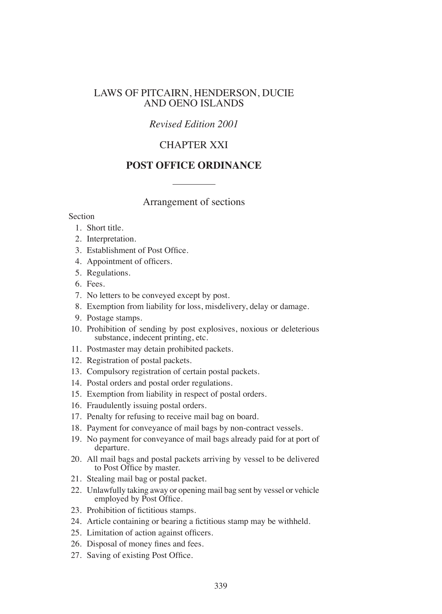## LAWS OF PITCAIRN, HENDERSON, DUCIE AND OENO ISLANDS

# *Revised Edition 2001*

# CHAPTER XXI

# **POST OFFICE ORDINANCE**

Arrangement of sections

Section

- 1. Short title.
- 2. Interpretation.
- 3. Establishment of Post Ofice.
- 4. Appointment of oficers.
- 5. Regulations.
- 6. Fees.
- 7. No letters to be conveyed except by post.
- 8. Exemption from liability for loss, misdelivery, delay or damage.
- 9. Postage stamps.
- 10. Prohibition of sending by post explosives, noxious or deleterious substance, indecent printing, etc.
- 11. Postmaster may detain prohibited packets.
- 12. Registration of postal packets.
- 13. Compulsory registration of certain postal packets.
- 14. Postal orders and postal order regulations.
- 15. Exemption from liability in respect of postal orders.
- 16. Fraudulently issuing postal orders.
- 17. Penalty for refusing to receive mail bag on board.
- 18. Payment for conveyance of mail bags by non-contract vessels.
- 19. No payment for conveyance of mail bags already paid for at port of departure.
- 20. All mail bags and postal packets arriving by vessel to be delivered to Post Ofice by master.
- 21. Stealing mail bag or postal packet.
- 22. Unlawfully taking away or opening mail bag sent by vessel or vehicle employed by Post Ofice.
- 23. Prohibition of ictitious stamps.
- 24. Article containing or bearing a fictitious stamp may be withheld.
- 25. Limitation of action against oficers.
- 26. Disposal of money fines and fees.
- 27. Saving of existing Post Ofice.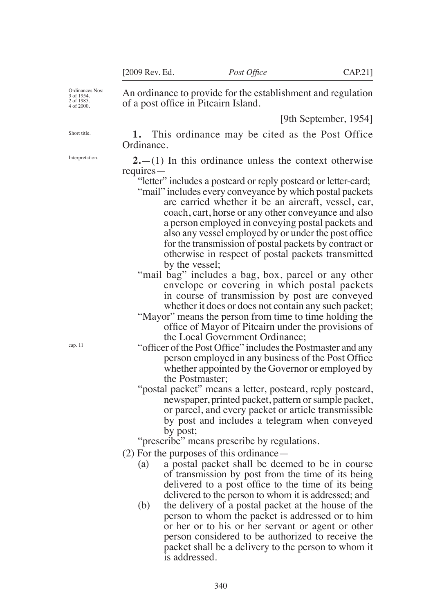of a post ofice in Pitcairn Island.

An ordinance to provide for the establishment and regulation

[9th September, 1954]

Ordinances Nos: 3 of 1954. 2 of 1985. 4 of 2000.

Short title.

**Interpretation** 

**1.** This ordinance may be cited as the Post Office Ordinance.

**2.**—(1) In this ordinance unless the context otherwise requires—

"letter" includes a postcard or reply postcard or letter-card;

- "mail" includes every conveyance by which postal packets are carried whether it be an aircraft, vessel, car, coach, cart, horse or any other conveyance and also a person employed in conveying postal packets and also any vessel employed by or under the post ofice for the transmission of postal packets by contract or otherwise in respect of postal packets transmitted by the vessel;
- "mail bag" includes a bag, box, parcel or any other envelope or covering in which postal packets in course of transmission by post are conveyed whether it does or does not contain any such packet;
- "Mayor" means the person from time to time holding the ofice of Mayor of Pitcairn under the provisions of the Local Government Ordinance;
- "oficer of the Post Ofice" includes the Postmaster and any person employed in any business of the Post Ofice whether appointed by the Governor or employed by the Postmaster;
- "postal packet" means a letter, postcard, reply postcard, newspaper, printed packet, pattern or sample packet, or parcel, and every packet or article transmissible by post and includes a telegram when conveyed by post;

"prescribe" means prescribe by regulations.

- (2) For the purposes of this ordinance—
	- (a) a postal packet shall be deemed to be in course of transmission by post from the time of its being delivered to a post ofice to the time of its being delivered to the person to whom it is addressed; and
	- (b) the delivery of a postal packet at the house of the person to whom the packet is addressed or to him or her or to his or her servant or agent or other person considered to be authorized to receive the packet shall be a delivery to the person to whom it is addressed.

cap. 11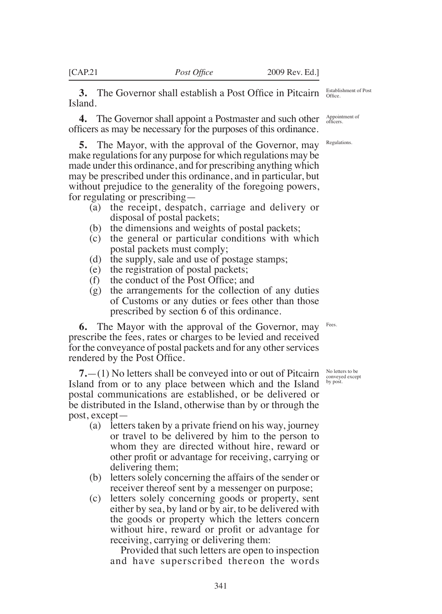**3.** The Governor shall establish a Post Ofice in Pitcairn Island.

**4.** The Governor shall appoint a Postmaster and such other oficers as may be necessary for the purposes of this ordinance.

**5.** The Mayor, with the approval of the Governor, may make regulations for any purpose for which regulations may be made under this ordinance, and for prescribing anything which may be prescribed under this ordinance, and in particular, but without prejudice to the generality of the foregoing powers, for regulating or prescribing—

- (a) the receipt, despatch, carriage and delivery or disposal of postal packets;
- (b) the dimensions and weights of postal packets;
- (c) the general or particular conditions with which postal packets must comply;
- (d) the supply, sale and use of postage stamps;
- (e) the registration of postal packets;
- (f) the conduct of the Post Ofice; and
- (g) the arrangements for the collection of any duties of Customs or any duties or fees other than those prescribed by section 6 of this ordinance.

**6.** The Mayor with the approval of the Governor, may prescribe the fees, rates or charges to be levied and received for the conveyance of postal packets and for any other services rendered by the Post Ofice.

**7.**—(1) No letters shall be conveyed into or out of Pitcairn Island from or to any place between which and the Island postal communications are established, or be delivered or be distributed in the Island, otherwise than by or through the post, except—

- (a) letters taken by a private friend on his way, journey or travel to be delivered by him to the person to whom they are directed without hire, reward or other profit or advantage for receiving, carrying or delivering them;
- (b) letters solely concerning the affairs of the sender or receiver thereof sent by a messenger on purpose;
- (c) letters solely concerning goods or property, sent either by sea, by land or by air, to be delivered with the goods or property which the letters concern without hire, reward or profit or advantage for receiving, carrying or delivering them:

 Provided that such letters are open to inspection and have superscribed thereon the words

Establishment of Post Ofice.

Appointment of oficers.

Regulations.

Fees.

No letters to be conveyed except by post.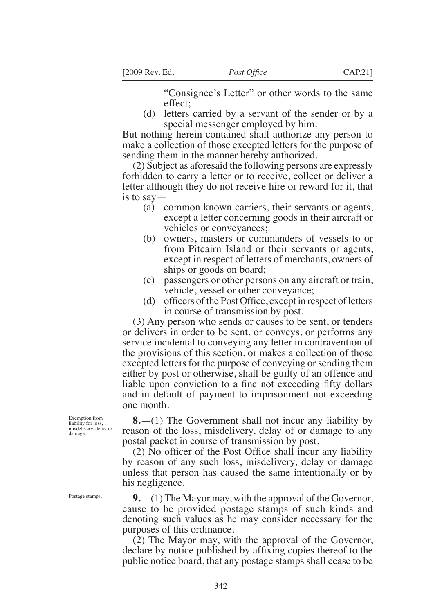"Consignee's Letter" or other words to the same effect;

(d) letters carried by a servant of the sender or by a special messenger employed by him.

But nothing herein contained shall authorize any person to make a collection of those excepted letters for the purpose of sending them in the manner hereby authorized.

(2) Subject as aforesaid the following persons are expressly forbidden to carry a letter or to receive, collect or deliver a letter although they do not receive hire or reward for it, that is to say—

- (a) common known carriers, their servants or agents, except a letter concerning goods in their aircraft or vehicles or conveyances;
- (b) owners, masters or commanders of vessels to or from Pitcairn Island or their servants or agents, except in respect of letters of merchants, owners of ships or goods on board;
- (c) passengers or other persons on any aircraft or train, vehicle, vessel or other conveyance;
- (d) oficers of the Post Ofice, except in respect of letters in course of transmission by post.

(3) Any person who sends or causes to be sent, or tenders or delivers in order to be sent, or conveys, or performs any service incidental to conveying any letter in contravention of the provisions of this section, or makes a collection of those excepted letters for the purpose of conveying or sending them either by post or otherwise, shall be guilty of an offence and liable upon conviction to a fine not exceeding fifty dollars and in default of payment to imprisonment not exceeding one month.

**8.**—(1) The Government shall not incur any liability by reason of the loss, misdelivery, delay of or damage to any postal packet in course of transmission by post.

(2) No oficer of the Post Ofice shall incur any liability by reason of any such loss, misdelivery, delay or damage unless that person has caused the same intentionally or by his negligence.

**9.**—(1) The Mayor may, with the approval of the Governor, cause to be provided postage stamps of such kinds and denoting such values as he may consider necessary for the purposes of this ordinance.

(2) The Mayor may, with the approval of the Governor, declare by notice published by afixing copies thereof to the public notice board, that any postage stamps shall cease to be

Exemption from liability for loss, misdelivery, delay or damage.

Postage stamps.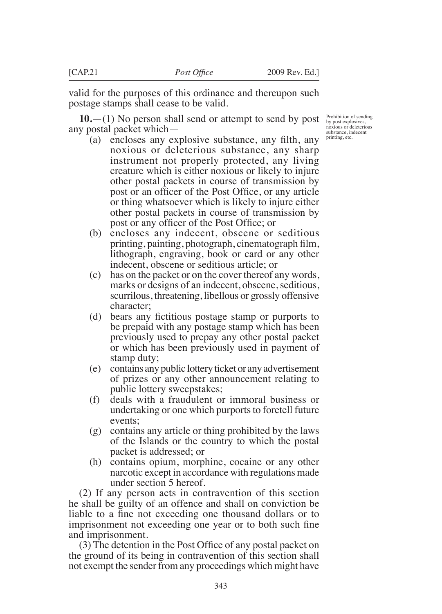valid for the purposes of this ordinance and thereupon such postage stamps shall cease to be valid.

**10.**—(1) No person shall send or attempt to send by post any postal packet which—

- (a) encloses any explosive substance, any ilth, any noxious or deleterious substance, any sharp instrument not properly protected, any living creature which is either noxious or likely to injure other postal packets in course of transmission by post or an oficer of the Post Ofice, or any article or thing whatsoever which is likely to injure either other postal packets in course of transmission by post or any oficer of the Post Ofice; or
- (b) encloses any indecent, obscene or seditious printing, painting, photograph, cinematograph ilm, lithograph, engraving, book or card or any other indecent, obscene or seditious article; or
- (c) has on the packet or on the cover thereof any words, marks or designs of an indecent, obscene, seditious, scurrilous, threatening, libellous or grossly offensive character;
- (d) bears any ictitious postage stamp or purports to be prepaid with any postage stamp which has been previously used to prepay any other postal packet or which has been previously used in payment of stamp duty;
- (e) contains any public lottery ticket or any advertisement of prizes or any other announcement relating to public lottery sweepstakes;
- (f) deals with a fraudulent or immoral business or undertaking or one which purports to foretell future events;
- (g) contains any article or thing prohibited by the laws of the Islands or the country to which the postal packet is addressed; or
- (h) contains opium, morphine, cocaine or any other narcotic except in accordance with regulations made under section 5 hereof.

(2) If any person acts in contravention of this section he shall be guilty of an offence and shall on conviction be liable to a fine not exceeding one thousand dollars or to imprisonment not exceeding one year or to both such fine and imprisonment.

(3) The detention in the Post Ofice of any postal packet on the ground of its being in contravention of this section shall not exempt the sender from any proceedings which might have

Prohibition of sending by post explosives, noxious or deleterious substance, indecent printing, etc.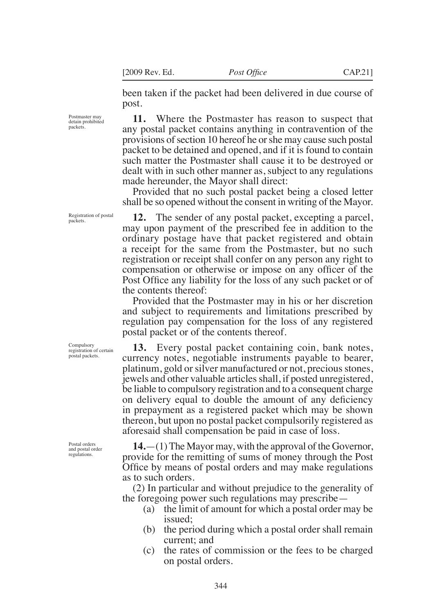been taken if the packet had been delivered in due course of post.

**11.** Where the Postmaster has reason to suspect that any postal packet contains anything in contravention of the provisions of section 10 hereof he or she may cause such postal packet to be detained and opened, and if it is found to contain such matter the Postmaster shall cause it to be destroyed or dealt with in such other manner as, subject to any regulations made hereunder, the Mayor shall direct:

Provided that no such postal packet being a closed letter shall be so opened without the consent in writing of the Mayor.

**12.** The sender of any postal packet, excepting a parcel, may upon payment of the prescribed fee in addition to the ordinary postage have that packet registered and obtain a receipt for the same from the Postmaster, but no such registration or receipt shall confer on any person any right to compensation or otherwise or impose on any oficer of the Post Ofice any liability for the loss of any such packet or of the contents thereof:

Provided that the Postmaster may in his or her discretion and subject to requirements and limitations prescribed by regulation pay compensation for the loss of any registered postal packet or of the contents thereof.

**13.** Every postal packet containing coin, bank notes, currency notes, negotiable instruments payable to bearer, platinum, gold or silver manufactured or not, precious stones, jewels and other valuable articles shall, if posted unregistered, be liable to compulsory registration and to a consequent charge on delivery equal to double the amount of any deficiency in prepayment as a registered packet which may be shown thereon, but upon no postal packet compulsorily registered as aforesaid shall compensation be paid in case of loss.

**14.**—(1) The Mayor may, with the approval of the Governor, provide for the remitting of sums of money through the Post Ofice by means of postal orders and may make regulations as to such orders.

(2) In particular and without prejudice to the generality of the foregoing power such regulations may prescribe—

- (a) the limit of amount for which a postal order may be issued;
- (b) the period during which a postal order shall remain current; and
- (c) the rates of commission or the fees to be charged on postal orders.

Registration of postal

packets.

Postmaster may detain prohibited packets.

Compulsory registration of certain postal packets.

Postal orders and postal order regulations.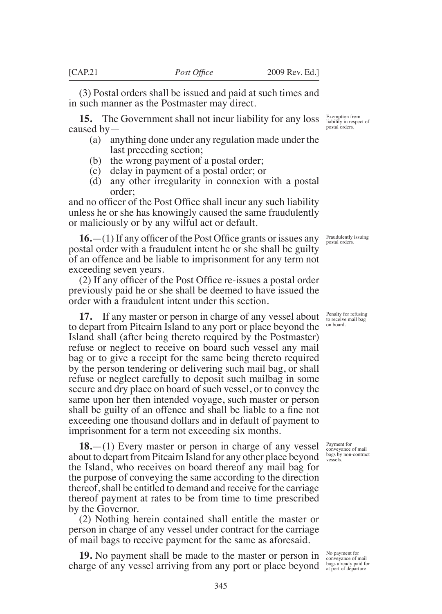(3) Postal orders shall be issued and paid at such times and in such manner as the Postmaster may direct.

**15.** The Government shall not incur liability for any loss caused by—

- (a) anything done under any regulation made under the last preceding section;
- (b) the wrong payment of a postal order;
- (c) delay in payment of a postal order; or
- (d) any other irregularity in connexion with a postal order;

and no oficer of the Post Ofice shall incur any such liability unless he or she has knowingly caused the same fraudulently or maliciously or by any wilful act or default.

**16.**—(1) If any oficer of the Post Ofice grants or issues any postal order with a fraudulent intent he or she shall be guilty of an offence and be liable to imprisonment for any term not exceeding seven years.

(2) If any oficer of the Post Ofice re-issues a postal order previously paid he or she shall be deemed to have issued the order with a fraudulent intent under this section.

**17.** If any master or person in charge of any vessel about to depart from Pitcairn Island to any port or place beyond the Island shall (after being thereto required by the Postmaster) refuse or neglect to receive on board such vessel any mail bag or to give a receipt for the same being thereto required by the person tendering or delivering such mail bag, or shall refuse or neglect carefully to deposit such mailbag in some secure and dry place on board of such vessel, or to convey the same upon her then intended voyage, such master or person shall be guilty of an offence and shall be liable to a fine not exceeding one thousand dollars and in default of payment to imprisonment for a term not exceeding six months.

**18.**—(1) Every master or person in charge of any vessel about to depart from Pitcairn Island for any other place beyond the Island, who receives on board thereof any mail bag for the purpose of conveying the same according to the direction thereof, shall be entitled to demand and receive for the carriage thereof payment at rates to be from time to time prescribed by the Governor.

(2) Nothing herein contained shall entitle the master or person in charge of any vessel under contract for the carriage of mail bags to receive payment for the same as aforesaid.

**19.** No payment shall be made to the master or person in charge of any vessel arriving from any port or place beyond start at port of departure.

Exemption from liability in respect of postal orders.

Fraudulently issuing postal orders.

Penalty for refusing to receive mail bag on board.

Payment for conveyance of mail bags by non-contract vessels.

No payment for conveyance of mail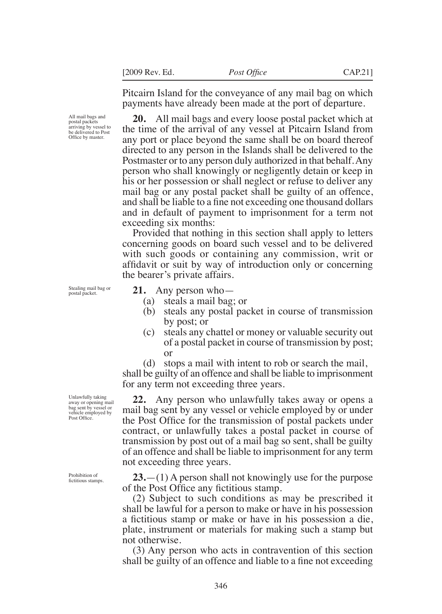Pitcairn Island for the conveyance of any mail bag on which payments have already been made at the port of departure.

**20.** All mail bags and every loose postal packet which at the time of the arrival of any vessel at Pitcairn Island from any port or place beyond the same shall be on board thereof directed to any person in the Islands shall be delivered to the Postmaster or to any person duly authorized in that behalf. Any person who shall knowingly or negligently detain or keep in his or her possession or shall neglect or refuse to deliver any mail bag or any postal packet shall be guilty of an offence, and shall be liable to a fine not exceeding one thousand dollars and in default of payment to imprisonment for a term not exceeding six months:

Provided that nothing in this section shall apply to letters concerning goods on board such vessel and to be delivered with such goods or containing any commission, writ or afidavit or suit by way of introduction only or concerning the bearer's private affairs.

Stealing mail bag or postal packet.

All mail bags and postal packets arriving by vessel to be delivered to Post Ofice by master.

- **21.** Any person who—
	- (a) steals a mail bag; or
	- (b) steals any postal packet in course of transmission by post; or
	- (c) steals any chattel or money or valuable security out of a postal packet in course of transmission by post; or

(d) stops a mail with intent to rob or search the mail, shall be guilty of an offence and shall be liable to imprisonment for any term not exceeding three years.

**22.** Any person who unlawfully takes away or opens a mail bag sent by any vessel or vehicle employed by or under the Post Ofice for the transmission of postal packets under contract, or unlawfully takes a postal packet in course of transmission by post out of a mail bag so sent, shall be guilty of an offence and shall be liable to imprisonment for any term not exceeding three years.

**23.**—(1) A person shall not knowingly use for the purpose of the Post Ofice any ictitious stamp.

(2) Subject to such conditions as may be prescribed it shall be lawful for a person to make or have in his possession a fictitious stamp or make or have in his possession a die, plate, instrument or materials for making such a stamp but not otherwise.

(3) Any person who acts in contravention of this section shall be guilty of an offence and liable to a fine not exceeding

Unlawfully taking away or opening mail bag sent by vessel or vehicle employed by Post Ofice.

Prohibition of fictitious stamps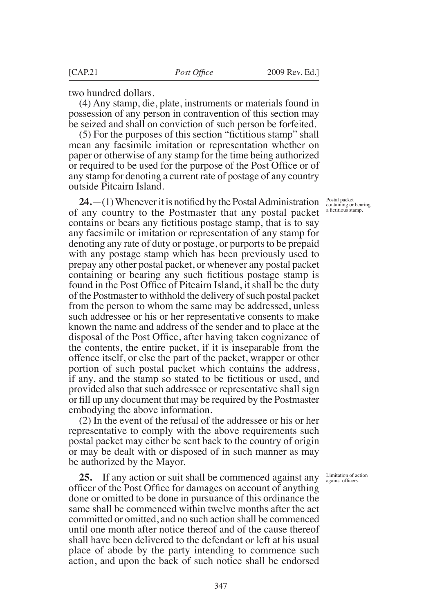two hundred dollars.

(4) Any stamp, die, plate, instruments or materials found in possession of any person in contravention of this section may be seized and shall on conviction of such person be forfeited.

(5) For the purposes of this section "ictitious stamp" shall mean any facsimile imitation or representation whether on paper or otherwise of any stamp for the time being authorized or required to be used for the purpose of the Post Ofice or of any stamp for denoting a current rate of postage of any country outside Pitcairn Island.

 $24.$ —(1) Whenever it is notified by the Postal Administration of any country to the Postmaster that any postal packet contains or bears any ictitious postage stamp, that is to say any facsimile or imitation or representation of any stamp for denoting any rate of duty or postage, or purports to be prepaid with any postage stamp which has been previously used to prepay any other postal packet, or whenever any postal packet containing or bearing any such fictitious postage stamp is found in the Post Ofice of Pitcairn Island, it shall be the duty of the Postmaster to withhold the delivery of such postal packet from the person to whom the same may be addressed, unless such addressee or his or her representative consents to make known the name and address of the sender and to place at the disposal of the Post Ofice, after having taken cognizance of the contents, the entire packet, if it is inseparable from the offence itself, or else the part of the packet, wrapper or other portion of such postal packet which contains the address, if any, and the stamp so stated to be ictitious or used, and provided also that such addressee or representative shall sign or fill up any document that may be required by the Postmaster embodying the above information.

(2) In the event of the refusal of the addressee or his or her representative to comply with the above requirements such postal packet may either be sent back to the country of origin or may be dealt with or disposed of in such manner as may be authorized by the Mayor.

**25.** If any action or suit shall be commenced against any oficer of the Post Ofice for damages on account of anything done or omitted to be done in pursuance of this ordinance the same shall be commenced within twelve months after the act committed or omitted, and no such action shall be commenced until one month after notice thereof and of the cause thereof shall have been delivered to the defendant or left at his usual place of abode by the party intending to commence such action, and upon the back of such notice shall be endorsed

Limitation of action against oficers.

Postal packet containing or bearing a ictitious stamp.

347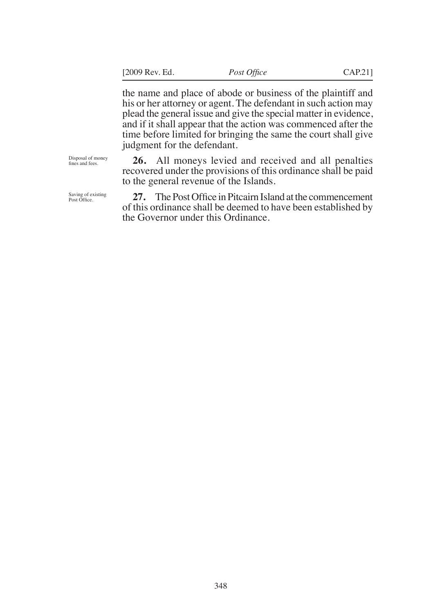the name and place of abode or business of the plaintiff and his or her attorney or agent. The defendant in such action may plead the general issue and give the special matter in evidence, and if it shall appear that the action was commenced after the time before limited for bringing the same the court shall give judgment for the defendant.

**26.** All moneys levied and received and all penalties recovered under the provisions of this ordinance shall be paid to the general revenue of the Islands.

**27.** The Post Ofice in Pitcairn Island at the commencement of this ordinance shall be deemed to have been established by the Governor under this Ordinance.

Disposal of money fines and fees.

Saving of existing Post Ofice.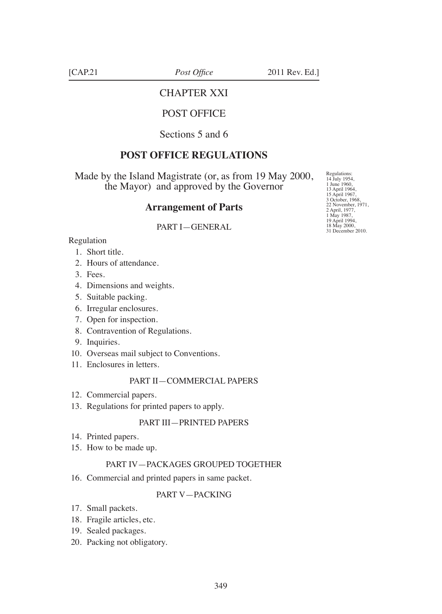# CHAPTER XXI

# POST OFFICE

## Sections 5 and 6

# **POST OFFICE REGULATIONS**

Made by the Island Magistrate (or, as from 19 May 2000, the Mayor) and approved by the Governor

## **Arrangement of Parts**

#### PART I—GENERAL

#### Regulation

- 1. Short title.
- 2. Hours of attendance.
- 3. Fees.
- 4. Dimensions and weights.
- 5. Suitable packing.
- 6. Irregular enclosures.
- 7. Open for inspection.
- 8. Contravention of Regulations.
- 9. Inquiries.
- 10. Overseas mail subject to Conventions.
- 11. Enclosures in letters.

#### PART II—COMMERCIAL PAPERS

- 12. Commercial papers.
- 13. Regulations for printed papers to apply.

## PART III—PRINTED PAPERS

- 14. Printed papers.
- 15. How to be made up.

## PART IV—PACKAGES GROUPED TOGETHER

16. Commercial and printed papers in same packet.

#### PART V—PACKING

- 17. Small packets.
- 18. Fragile articles, etc.
- 19. Sealed packages.
- 20. Packing not obligatory.

Regulations:<br>
1 June 1960,<br>
1 June 1960,<br>
13 April 1964,<br>
3 October, 1968,<br>
22 November, 1971,<br>
22 April, 1977,<br>
21 May 1987,<br>
11 May 1987,<br>
19 April 1994,<br>
31 December 2010.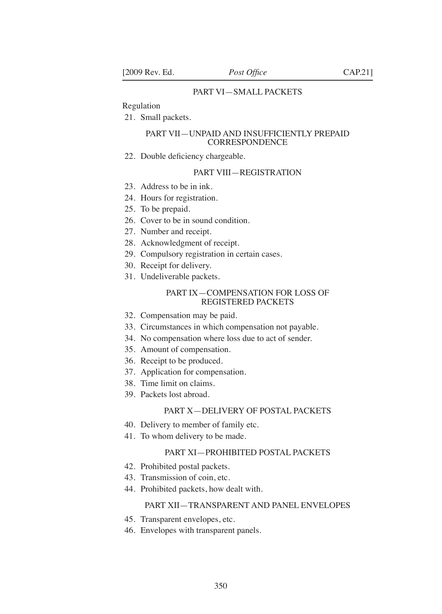#### PART VI—SMALL PACKETS

Regulation

21. Small packets.

#### PART VII—UNPAID AND INSUFFICIENTLY PREPAID **CORRESPONDENCE**

22. Double deficiency chargeable.

## PART VIII—REGISTRATION

- 23. Address to be in ink.
- 24. Hours for registration.
- 25. To be prepaid.
- 26. Cover to be in sound condition.
- 27. Number and receipt.
- 28. Acknowledgment of receipt.
- 29. Compulsory registration in certain cases.
- 30. Receipt for delivery.
- 31. Undeliverable packets.

#### PART IX—COMPENSATION FOR LOSS OF REGISTERED PACKETS

- 32. Compensation may be paid.
- 33. Circumstances in which compensation not payable.
- 34. No compensation where loss due to act of sender.
- 35. Amount of compensation.
- 36. Receipt to be produced.
- 37. Application for compensation.
- 38. Time limit on claims.
- 39. Packets lost abroad.

### PART X—DELIVERY OF POSTAL PACKETS

- 40. Delivery to member of family etc.
- 41. To whom delivery to be made.

#### PART XI—PROHIBITED POSTAL PACKETS

- 42. Prohibited postal packets.
- 43. Transmission of coin, etc.
- 44. Prohibited packets, how dealt with.

#### PART XII—TRANSPARENT AND PANEL ENVELOPES

- 45. Transparent envelopes, etc.
- 46. Envelopes with transparent panels.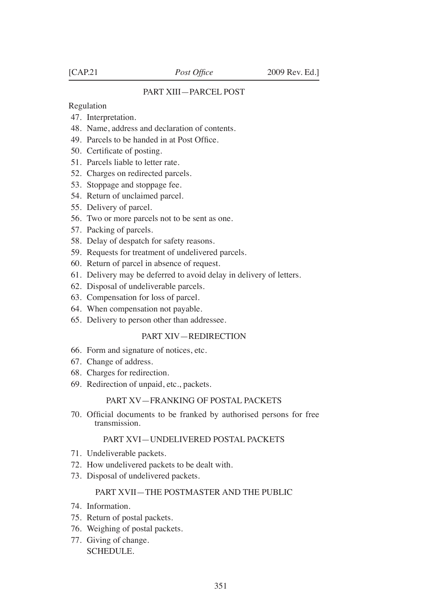#### PART XIII—PARCEL POST

#### Regulation

- 47. Interpretation.
- 48. Name, address and declaration of contents.
- 49. Parcels to be handed in at Post Ofice.
- 50. Certificate of posting.
- 51. Parcels liable to letter rate.
- 52. Charges on redirected parcels.
- 53. Stoppage and stoppage fee.
- 54. Return of unclaimed parcel.
- 55. Delivery of parcel.
- 56. Two or more parcels not to be sent as one.
- 57. Packing of parcels.
- 58. Delay of despatch for safety reasons.
- 59. Requests for treatment of undelivered parcels.
- 60. Return of parcel in absence of request.
- 61. Delivery may be deferred to avoid delay in delivery of letters.
- 62. Disposal of undeliverable parcels.
- 63. Compensation for loss of parcel.
- 64. When compensation not payable.
- 65. Delivery to person other than addressee.

## PART XIV—REDIRECTION

- 66. Form and signature of notices, etc.
- 67. Change of address.
- 68. Charges for redirection.
- 69. Redirection of unpaid, etc., packets.

#### PART XV—FRANKING OF POSTAL PACKETS

 70. Oficial documents to be franked by authorised persons for free transmission.

## PART XVI—UNDELIVERED POSTAL PACKETS

- 71. Undeliverable packets.
- 72. How undelivered packets to be dealt with.
- 73. Disposal of undelivered packets.

## PART XVII—THE POSTMASTER AND THE PUBLIC

- 74. Information.
- 75. Return of postal packets.
- 76. Weighing of postal packets.
- 77. Giving of change. SCHEDULE.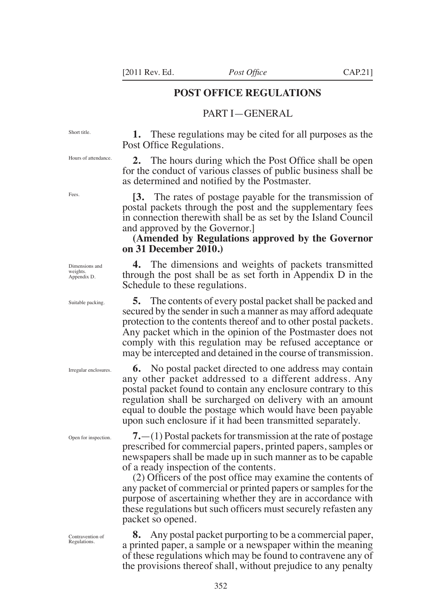## **POST OFFICE REGULATIONS**

## PART I—GENERAL

**1.** These regulations may be cited for all purposes as the Post Ofice Regulations.

**2.** The hours during which the Post Ofice shall be open for the conduct of various classes of public business shall be as determined and notified by the Postmaster.

**[3.** The rates of postage payable for the transmission of postal packets through the post and the supplementary fees in connection therewith shall be as set by the Island Council and approved by the Governor.]

## **(Amended by Regulations approved by the Governor on 31 December 2010.)**

**4.** The dimensions and weights of packets transmitted through the post shall be as set forth in Appendix D in the Schedule to these regulations.

**5.** The contents of every postal packet shall be packed and secured by the sender in such a manner as may afford adequate protection to the contents thereof and to other postal packets. Any packet which in the opinion of the Postmaster does not comply with this regulation may be refused acceptance or may be intercepted and detained in the course of transmission.

**6.** No postal packet directed to one address may contain any other packet addressed to a different address. Any postal packet found to contain any enclosure contrary to this regulation shall be surcharged on delivery with an amount equal to double the postage which would have been payable upon such enclosure if it had been transmitted separately.

**7.**—(1) Postal packets for transmission at the rate of postage prescribed for commercial papers, printed papers, samples or newspapers shall be made up in such manner as to be capable of a ready inspection of the contents.

(2) Oficers of the post ofice may examine the contents of any packet of commercial or printed papers or samples for the purpose of ascertaining whether they are in accordance with these regulations but such oficers must securely refasten any packet so opened.

Contravention of **Regulations** 

**8.** Any postal packet purporting to be a commercial paper, a printed paper, a sample or a newspaper within the meaning of these regulations which may be found to contravene any of the provisions thereof shall, without prejudice to any penalty

Short title.

Hours of attendance.

Fees.

Suitable packing.

Dimensions and weights. Appendix D.

Irregular enclosures.

Open for inspection.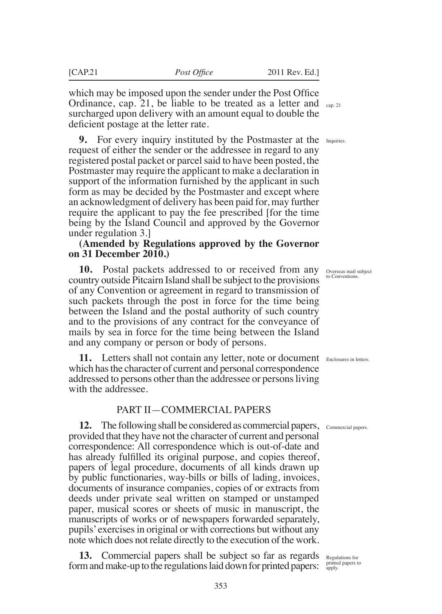which may be imposed upon the sender under the Post Ofice Ordinance, cap. 21, be liable to be treated as a letter and  $_{cap.21}$ surcharged upon delivery with an amount equal to double the deficient postage at the letter rate.

**9.** For every inquiry instituted by the Postmaster at the nquiries request of either the sender or the addressee in regard to any registered postal packet or parcel said to have been posted, the Postmaster may require the applicant to make a declaration in support of the information furnished by the applicant in such form as may be decided by the Postmaster and except where an acknowledgment of delivery has been paid for, may further require the applicant to pay the fee prescribed [for the time being by the Island Council and approved by the Governor under regulation 3.]

## **(Amended by Regulations approved by the Governor on 31 December 2010.)**

**10.** Postal packets addressed to or received from any country outside Pitcairn Island shall be subject to the provisions of any Convention or agreement in regard to transmission of such packets through the post in force for the time being between the Island and the postal authority of such country and to the provisions of any contract for the conveyance of mails by sea in force for the time being between the Island and any company or person or body of persons.

11. Letters shall not contain any letter, note or document Enclosures in letters. which has the character of current and personal correspondence addressed to persons other than the addressee or persons living with the addressee.

# PART II—COMMERCIAL PAPERS

12. The following shall be considered as commercial papers, Commercial papers provided that they have not the character of current and personal correspondence: All correspondence which is out-of-date and has already fulfilled its original purpose, and copies thereof, papers of legal procedure, documents of all kinds drawn up by public functionaries, way-bills or bills of lading, invoices, documents of insurance companies, copies of or extracts from deeds under private seal written on stamped or unstamped paper, musical scores or sheets of music in manuscript, the manuscripts of works or of newspapers forwarded separately, pupils' exercises in original or with corrections but without any note which does not relate directly to the execution of the work.

**13.** Commercial papers shall be subject so far as regards form and make-up to the regulations laid down for printed papers:

Overseas mail subject to Conventions.

Regulations for printed papers to apply.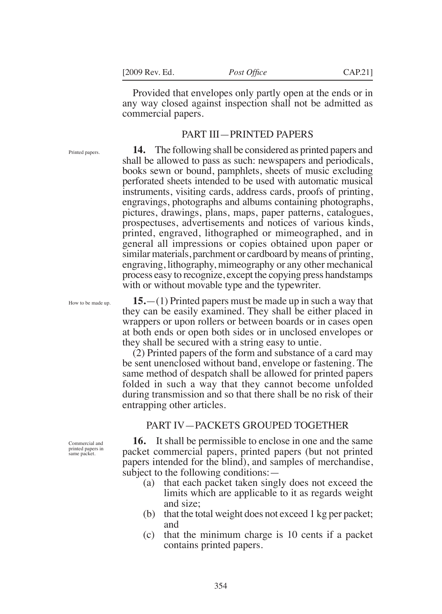Provided that envelopes only partly open at the ends or in any way closed against inspection shall not be admitted as commercial papers.

## PART III—PRINTED PAPERS

Printed papers.

**14.** The following shall be considered as printed papers and shall be allowed to pass as such: newspapers and periodicals, books sewn or bound, pamphlets, sheets of music excluding perforated sheets intended to be used with automatic musical instruments, visiting cards, address cards, proofs of printing, engravings, photographs and albums containing photographs, pictures, drawings, plans, maps, paper patterns, catalogues, prospectuses, advertisements and notices of various kinds, printed, engraved, lithographed or mimeographed, and in general all impressions or copies obtained upon paper or similar materials, parchment or cardboard by means of printing, engraving, lithography, mimeography or any other mechanical process easy to recognize, except the copying press handstamps with or without movable type and the typewriter.

**15.**—(1) Printed papers must be made up in such a way that they can be easily examined. They shall be either placed in wrappers or upon rollers or between boards or in cases open at both ends or open both sides or in unclosed envelopes or they shall be secured with a string easy to untie.

(2) Printed papers of the form and substance of a card may be sent unenclosed without band, envelope or fastening. The same method of despatch shall be allowed for printed papers folded in such a way that they cannot become unfolded during transmission and so that there shall be no risk of their entrapping other articles.

## PART IV—PACKETS GROUPED TOGETHER

**16.** It shall be permissible to enclose in one and the same packet commercial papers, printed papers (but not printed papers intended for the blind), and samples of merchandise, subject to the following conditions:—

- (a) that each packet taken singly does not exceed the limits which are applicable to it as regards weight and size;
- (b) that the total weight does not exceed 1 kg per packet; and
- (c) that the minimum charge is 10 cents if a packet contains printed papers.

Commercial and printed papers in same packet.

How to be made up.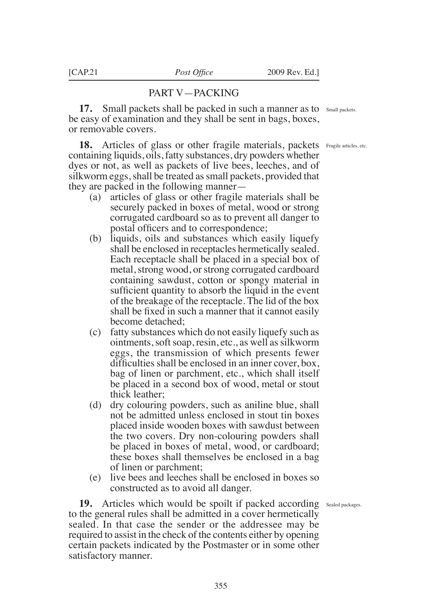## PART V—PACKING

17. Small packets shall be packed in such a manner as to small packets. be easy of examination and they shall be sent in bags, boxes, or removable covers.

18. Articles of glass or other fragile materials, packets Fragile articles, etc containing liquids, oils, fatty substances, dry powders whether dyes or not, as well as packets of live bees, leeches, and of silkworm eggs, shall be treated as small packets, provided that they are packed in the following manner—

- (a) articles of glass or other fragile materials shall be securely packed in boxes of metal, wood or strong corrugated cardboard so as to prevent all danger to postal oficers and to correspondence;
- (b) liquids, oils and substances which easily liquefy shall be enclosed in receptacles hermetically sealed. Each receptacle shall be placed in a special box of metal, strong wood, or strong corrugated cardboard containing sawdust, cotton or spongy material in suficient quantity to absorb the liquid in the event of the breakage of the receptacle. The lid of the box shall be fixed in such a manner that it cannot easily become detached;
- (c) fatty substances which do not easily liquefy such as ointments, soft soap, resin, etc., as well as silkworm eggs, the transmission of which presents fewer dificulties shall be enclosed in an inner cover, box, bag of linen or parchment, etc., which shall itself be placed in a second box of wood, metal or stout thick leather;
- (d) dry colouring powders, such as aniline blue, shall not be admitted unless enclosed in stout tin boxes placed inside wooden boxes with sawdust between the two covers. Dry non-colouring powders shall be placed in boxes of metal, wood, or cardboard; these boxes shall themselves be enclosed in a bag of linen or parchment;
- (e) live bees and leeches shall be enclosed in boxes so constructed as to avoid all danger.

19. Articles which would be spoilt if packed according Sealed packages. to the general rules shall be admitted in a cover hermetically sealed. In that case the sender or the addressee may be required to assist in the check of the contents either by opening certain packets indicated by the Postmaster or in some other satisfactory manner.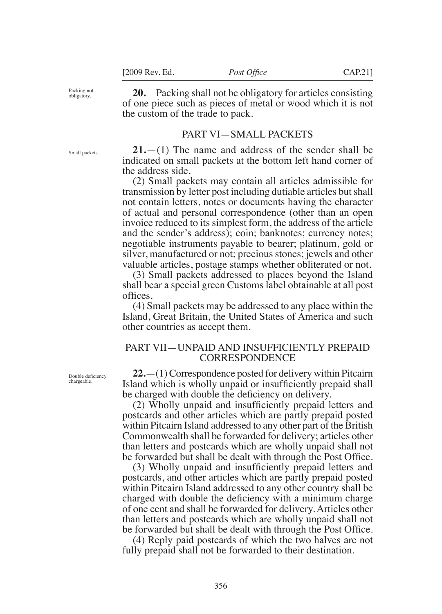Packing not obligatory.

Small packets.

**20.** Packing shall not be obligatory for articles consisting of one piece such as pieces of metal or wood which it is not the custom of the trade to pack.

## PART VI—SMALL PACKETS

**21.**—(1) The name and address of the sender shall be indicated on small packets at the bottom left hand corner of the address side.

(2) Small packets may contain all articles admissible for transmission by letter post including dutiable articles but shall not contain letters, notes or documents having the character of actual and personal correspondence (other than an open invoice reduced to its simplest form, the address of the article and the sender's address); coin; banknotes; currency notes; negotiable instruments payable to bearer; platinum, gold or silver, manufactured or not; precious stones; jewels and other valuable articles, postage stamps whether obliterated or not.

(3) Small packets addressed to places beyond the Island shall bear a special green Customs label obtainable at all post ofices.

(4) Small packets may be addressed to any place within the Island, Great Britain, the United States of America and such other countries as accept them.

## PART VII—UNPAID AND INSUFFICIENTLY PREPAID **CORRESPONDENCE**

**22.**—(1) Correspondence posted for delivery within Pitcairn Island which is wholly unpaid or insuficiently prepaid shall be charged with double the deficiency on delivery.

(2) Wholly unpaid and insuficiently prepaid letters and postcards and other articles which are partly prepaid posted within Pitcairn Island addressed to any other part of the British Commonwealth shall be forwarded for delivery; articles other than letters and postcards which are wholly unpaid shall not be forwarded but shall be dealt with through the Post Ofice.

(3) Wholly unpaid and insuficiently prepaid letters and postcards, and other articles which are partly prepaid posted within Pitcairn Island addressed to any other country shall be charged with double the deficiency with a minimum charge of one cent and shall be forwarded for delivery. Articles other than letters and postcards which are wholly unpaid shall not be forwarded but shall be dealt with through the Post Ofice.

(4) Reply paid postcards of which the two halves are not fully prepaid shall not be forwarded to their destination.

Double deficiency chargeable.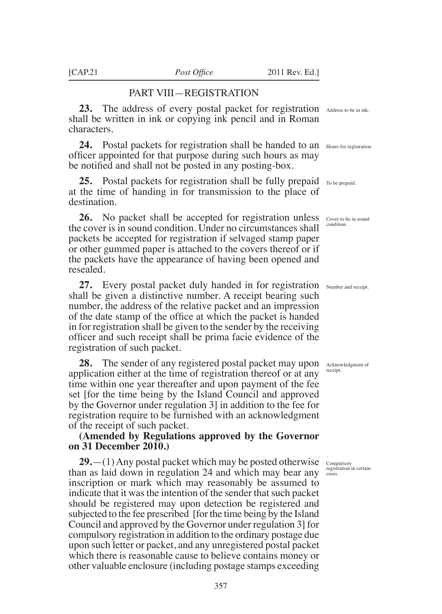# PART VIII—REGISTRATION

23. The address of every postal packet for registration Address to be in ink. shall be written in ink or copying ink pencil and in Roman characters.

**24.** Postal packets for registration shall be handed to an Hours for registration. oficer appointed for that purpose during such hours as may be notified and shall not be posted in any posting-box.

**25.** Postal packets for registration shall be fully prepaid To be prepaid at the time of handing in for transmission to the place of destination.

**26.** No packet shall be accepted for registration unless Cover to be in sound the cover is in sound condition. Under no circumstances shall packets be accepted for registration if selvaged stamp paper or other gummed paper is attached to the covers thereof or if the packets have the appearance of having been opened and resealed.

27. Every postal packet duly handed in for registration Number and receipt shall be given a distinctive number. A receipt bearing such number, the address of the relative packet and an impression of the date stamp of the ofice at which the packet is handed in for registration shall be given to the sender by the receiving oficer and such receipt shall be prima facie evidence of the registration of such packet.

**28.** The sender of any registered postal packet may upon application either at the time of registration thereof or at any time within one year thereafter and upon payment of the fee set [for the time being by the Island Council and approved by the Governor under regulation 3] in addition to the fee for registration require to be furnished with an acknowledgment of the receipt of such packet.

**(Amended by Regulations approved by the Governor on 31 December 2010.)**

**29.**—(1) Any postal packet which may be posted otherwise than as laid down in regulation 24 and which may bear any inscription or mark which may reasonably be assumed to indicate that it was the intention of the sender that such packet should be registered may upon detection be registered and subjected to the fee prescribed [for the time being by the Island Council and approved by the Governor under regulation 3] for compulsory registration in addition to the ordinary postage due upon such letter or packet, and any unregistered postal packet which there is reasonable cause to believe contains money or other valuable enclosure (including postage stamps exceeding

condition.

Acknowledgment of receipt.

Compulsory registration in certain cases.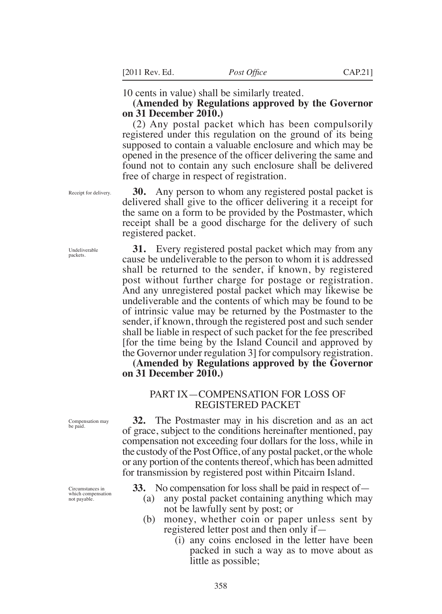10 cents in value) shall be similarly treated.

## **(Amended by Regulations approved by the Governor on 31 December 2010.)**

(2) Any postal packet which has been compulsorily registered under this regulation on the ground of its being supposed to contain a valuable enclosure and which may be opened in the presence of the oficer delivering the same and found not to contain any such enclosure shall be delivered free of charge in respect of registration.

Receipt for delivery.

**30.** Any person to whom any registered postal packet is delivered shall give to the oficer delivering it a receipt for the same on a form to be provided by the Postmaster, which receipt shall be a good discharge for the delivery of such registered packet.

**31.** Every registered postal packet which may from any cause be undeliverable to the person to whom it is addressed shall be returned to the sender, if known, by registered post without further charge for postage or registration. And any unregistered postal packet which may likewise be undeliverable and the contents of which may be found to be of intrinsic value may be returned by the Postmaster to the sender, if known, through the registered post and such sender shall be liable in respect of such packet for the fee prescribed [for the time being by the Island Council and approved by the Governor under regulation 3] for compulsory registration.

**(Amended by Regulations approved by the Governor on 31 December 2010.)**

## PART IX—COMPENSATION FOR LOSS OF REGISTERED PACKET

**32.** The Postmaster may in his discretion and as an act of grace, subject to the conditions hereinafter mentioned, pay compensation not exceeding four dollars for the loss, while in the custody of the Post Ofice, of any postal packet, or the whole or any portion of the contents thereof, which has been admitted for transmission by registered post within Pitcairn Island.

**33.** No compensation for loss shall be paid in respect of—

- (a) any postal packet containing anything which may not be lawfully sent by post; or
- (b) money, whether coin or paper unless sent by registered letter post and then only if—
	- (i) any coins enclosed in the letter have been packed in such a way as to move about as little as possible;

Undeliverable packets.

Compensation may be paid.

Circumstances in which compensation not payable.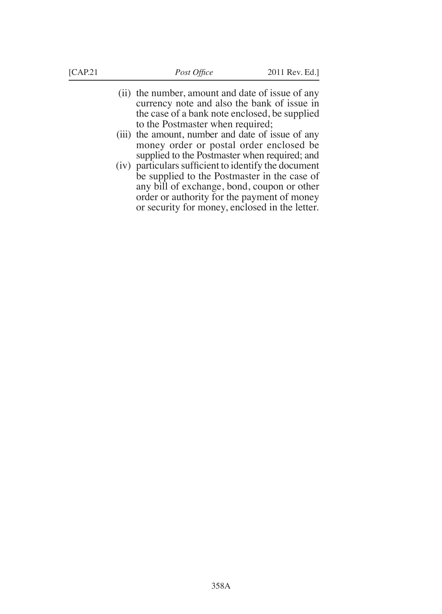- (ii) the number, amount and date of issue of any currency note and also the bank of issue in the case of a bank note enclosed, be supplied to the Postmaster when required;
- (iii) the amount, number and date of issue of any money order or postal order enclosed be supplied to the Postmaster when required; and
- (iv) particulars suficient to identify the document be supplied to the Postmaster in the case of any bill of exchange, bond, coupon or other order or authority for the payment of money or security for money, enclosed in the letter.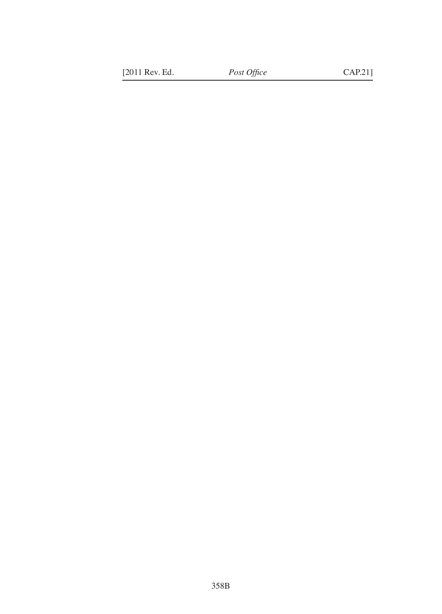[2011 Rev. Ed. *Post Ofice* CAP.21]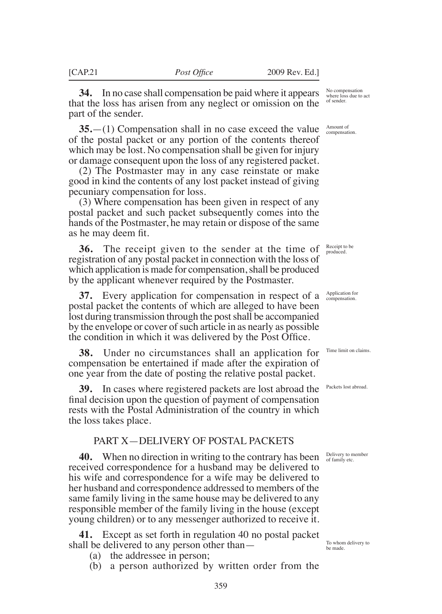**34.** In no case shall compensation be paid where it appears that the loss has arisen from any neglect or omission on the part of the sender.

**35.**—(1) Compensation shall in no case exceed the value of the postal packet or any portion of the contents thereof which may be lost. No compensation shall be given for injury or damage consequent upon the loss of any registered packet.

(2) The Postmaster may in any case reinstate or make good in kind the contents of any lost packet instead of giving pecuniary compensation for loss.

(3) Where compensation has been given in respect of any postal packet and such packet subsequently comes into the hands of the Postmaster, he may retain or dispose of the same as he may deem fit.

**36.** The receipt given to the sender at the time of registration of any postal packet in connection with the loss of which application is made for compensation, shall be produced by the applicant whenever required by the Postmaster.

**37.** Every application for compensation in respect of a postal packet the contents of which are alleged to have been lost during transmission through the post shall be accompanied by the envelope or cover of such article in as nearly as possible the condition in which it was delivered by the Post Ofice.

**38.** Under no circumstances shall an application for compensation be entertained if made after the expiration of one year from the date of posting the relative postal packet.

**39.** In cases where registered packets are lost abroad the final decision upon the question of payment of compensation rests with the Postal Administration of the country in which the loss takes place.

## PART X—DELIVERY OF POSTAL PACKETS

**40.** When no direction in writing to the contrary has been received correspondence for a husband may be delivered to his wife and correspondence for a wife may be delivered to her husband and correspondence addressed to members of the same family living in the same house may be delivered to any responsible member of the family living in the house (except young children) or to any messenger authorized to receive it.

**41.** Except as set forth in regulation 40 no postal packet shall be delivered to any person other than—

- (a) the addressee in person;
- (b) a person authorized by written order from the

No compensation where loss due to act of sender.

Amount of compensation.

Receipt to be produced.

Application for compensation.

Time limit on claims.

Packets lost abroad.

Delivery to member of family etc.

To whom delivery to be made.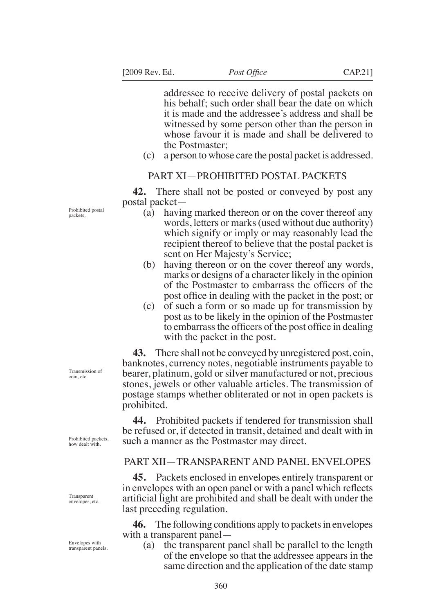witnessed by some person other than the person in whose favour it is made and shall be delivered to the Postmaster;

(c) a person to whose care the postal packet is addressed.

# PART XI—PROHIBITED POSTAL PACKETS

**42.** There shall not be posted or conveyed by post any postal packet—

- (a) having marked thereon or on the cover thereof any words, letters or marks (used without due authority) which signify or imply or may reasonably lead the recipient thereof to believe that the postal packet is sent on Her Majesty's Service;
- (b) having thereon or on the cover thereof any words, marks or designs of a character likely in the opinion of the Postmaster to embarrass the oficers of the post ofice in dealing with the packet in the post; or
- (c) of such a form or so made up for transmission by post as to be likely in the opinion of the Postmaster to embarrass the oficers of the post ofice in dealing with the packet in the post.

**43.** There shall not be conveyed by unregistered post, coin, banknotes, currency notes, negotiable instruments payable to bearer, platinum, gold or silver manufactured or not, precious stones, jewels or other valuable articles. The transmission of postage stamps whether obliterated or not in open packets is prohibited.

**44.** Prohibited packets if tendered for transmission shall be refused or, if detected in transit, detained and dealt with in such a manner as the Postmaster may direct.

# PART XII—TRANSPARENT AND PANEL ENVELOPES

**45.** Packets enclosed in envelopes entirely transparent or in envelopes with an open panel or with a panel which reflects artiicial light are prohibited and shall be dealt with under the last preceding regulation.

**46.** The following conditions apply to packets in envelopes with a transparent panel—

(a) the transparent panel shall be parallel to the length of the envelope so that the addressee appears in the same direction and the application of the date stamp

Transmission of coin, etc.

Prohibited postal packets.

Prohibited packets, how dealt with.

Transparent envelopes, etc.

Envelopes with transparent panels.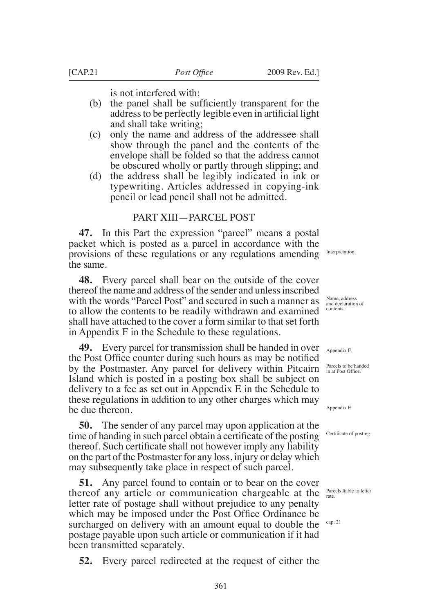is not interfered with;

- (b) the panel shall be suficiently transparent for the address to be perfectly legible even in artificial light and shall take writing;
- (c) only the name and address of the addressee shall show through the panel and the contents of the envelope shall be folded so that the address cannot be obscured wholly or partly through slipping; and
- (d) the address shall be legibly indicated in ink or typewriting. Articles addressed in copying-ink pencil or lead pencil shall not be admitted.

## PART XIII—PARCEL POST

**47.** In this Part the expression "parcel" means a postal packet which is posted as a parcel in accordance with the provisions of these regulations or any regulations amending the same.

**48.** Every parcel shall bear on the outside of the cover thereof the name and address of the sender and unless inscribed with the words "Parcel Post" and secured in such a manner as to allow the contents to be readily withdrawn and examined shall have attached to the cover a form similar to that set forth in Appendix F in the Schedule to these regulations.

**49.** Every parcel for transmission shall be handed in over the Post Office counter during such hours as may be notified by the Postmaster. Any parcel for delivery within Pitcairn Island which is posted in a posting box shall be subject on delivery to a fee as set out in Appendix E in the Schedule to these regulations in addition to any other charges which may be due thereon.

**50.** The sender of any parcel may upon application at the time of handing in such parcel obtain a certificate of the posting thereof. Such certificate shall not however imply any liability on the part of the Postmaster for any loss, injury or delay which may subsequently take place in respect of such parcel.

**51.** Any parcel found to contain or to bear on the cover thereof any article or communication chargeable at the letter rate of postage shall without prejudice to any penalty which may be imposed under the Post Ofice Ordinance be surcharged on delivery with an amount equal to double the postage payable upon such article or communication if it had been transmitted separately.

**52.** Every parcel redirected at the request of either the

Name, address and declaration of

Interpretation.

Appendix F.

contents.

Parcels to be handed in at Post Ofice.

Appendix E

Certificate of posting.

Parcels liable to letter rate.

cap. 21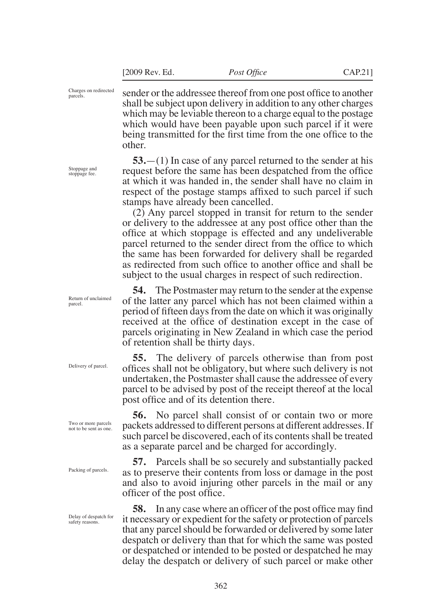Charges on redirected parcels.

sender or the addressee thereof from one post ofice to another shall be subject upon delivery in addition to any other charges which may be leviable thereon to a charge equal to the postage which would have been payable upon such parcel if it were being transmitted for the first time from the one office to the other.

**53.**—(1) In case of any parcel returned to the sender at his request before the same has been despatched from the ofice at which it was handed in, the sender shall have no claim in respect of the postage stamps afixed to such parcel if such stamps have already been cancelled.

(2) Any parcel stopped in transit for return to the sender or delivery to the addressee at any post ofice other than the ofice at which stoppage is effected and any undeliverable parcel returned to the sender direct from the ofice to which the same has been forwarded for delivery shall be regarded as redirected from such ofice to another ofice and shall be subject to the usual charges in respect of such redirection.

**54.** The Postmaster may return to the sender at the expense of the latter any parcel which has not been claimed within a period of ifteen days from the date on which it was originally received at the ofice of destination except in the case of parcels originating in New Zealand in which case the period of retention shall be thirty days.

**55.** The delivery of parcels otherwise than from post ofices shall not be obligatory, but where such delivery is not undertaken, the Postmaster shall cause the addressee of every parcel to be advised by post of the receipt thereof at the local post ofice and of its detention there.

**56.** No parcel shall consist of or contain two or more packets addressed to different persons at different addresses. If such parcel be discovered, each of its contents shall be treated as a separate parcel and be charged for accordingly.

**57.** Parcels shall be so securely and substantially packed as to preserve their contents from loss or damage in the post and also to avoid injuring other parcels in the mail or any oficer of the post ofice.

**58.** In any case where an officer of the post office may find it necessary or expedient for the safety or protection of parcels that any parcel should be forwarded or delivered by some later despatch or delivery than that for which the same was posted or despatched or intended to be posted or despatched he may delay the despatch or delivery of such parcel or make other

Stoppage and stoppage fee.

Return of unclaimed parcel.

Delivery of parcel.

Two or more parcels not to be sent as one.

Packing of parcels.

Delay of despatch for safety reasons.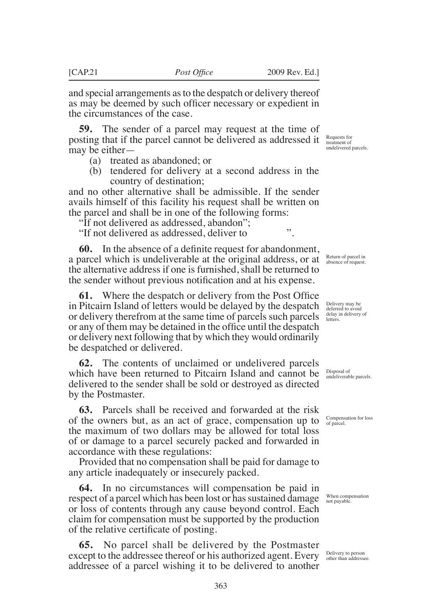and special arrangements as to the despatch or delivery thereof as may be deemed by such oficer necessary or expedient in the circumstances of the case.

**59.** The sender of a parcel may request at the time of posting that if the parcel cannot be delivered as addressed it may be either—

- (a) treated as abandoned; or
- (b) tendered for delivery at a second address in the country of destination;

and no other alternative shall be admissible. If the sender avails himself of this facility his request shall be written on the parcel and shall be in one of the following forms:

"If not delivered as addressed, abandon";

"If not delivered as addressed, deliver to ".

**60.** In the absence of a definite request for abandonment, a parcel which is undeliverable at the original address, or at the alternative address if one is furnished, shall be returned to the sender without previous notification and at his expense.

**61.** Where the despatch or delivery from the Post Ofice in Pitcairn Island of letters would be delayed by the despatch or delivery therefrom at the same time of parcels such parcels or any of them may be detained in the ofice until the despatch or delivery next following that by which they would ordinarily be despatched or delivered.

**62.** The contents of unclaimed or undelivered parcels which have been returned to Pitcairn Island and cannot be delivered to the sender shall be sold or destroyed as directed by the Postmaster.

**63.** Parcels shall be received and forwarded at the risk of the owners but, as an act of grace, compensation up to the maximum of two dollars may be allowed for total loss of or damage to a parcel securely packed and forwarded in accordance with these regulations:

Provided that no compensation shall be paid for damage to any article inadequately or insecurely packed.

**64.** In no circumstances will compensation be paid in respect of a parcel which has been lost or has sustained damage or loss of contents through any cause beyond control. Each claim for compensation must be supported by the production of the relative certificate of posting.

**65.** No parcel shall be delivered by the Postmaster except to the addressee thereof or his authorized agent. Every addressee of a parcel wishing it to be delivered to another

Requests for treatment of undelivered parcels.

Return of parcel in absence of request.

Delivery may be deferred to avoid delay in delivery of letters.

Disposal of undeliverable parcels.

Compensation for loss of parcel.

When compensation not payable.

Delivery to person other than addressee.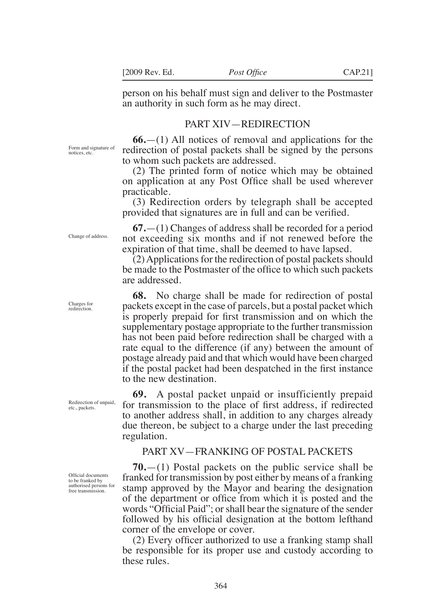person on his behalf must sign and deliver to the Postmaster an authority in such form as he may direct.

## PART XIV—REDIRECTION

**66.**—(1) All notices of removal and applications for the redirection of postal packets shall be signed by the persons to whom such packets are addressed.

(2) The printed form of notice which may be obtained on application at any Post Ofice shall be used wherever practicable.

(3) Redirection orders by telegraph shall be accepted provided that signatures are in full and can be verified.

**67.**—(1) Changes of address shall be recorded for a period not exceeding six months and if not renewed before the expiration of that time, shall be deemed to have lapsed.

(2) Applications for the redirection of postal packets should be made to the Postmaster of the ofice to which such packets are addressed.

**68.** No charge shall be made for redirection of postal packets except in the case of parcels, but a postal packet which is properly prepaid for first transmission and on which the supplementary postage appropriate to the further transmission has not been paid before redirection shall be charged with a rate equal to the difference (if any) between the amount of postage already paid and that which would have been charged if the postal packet had been despatched in the first instance to the new destination.

**69.** A postal packet unpaid or insufficiently prepaid for transmission to the place of irst address, if redirected to another address shall, in addition to any charges already due thereon, be subject to a charge under the last preceding regulation.

## PART XV—FRANKING OF POSTAL PACKETS

**70.**—(1) Postal packets on the public service shall be franked for transmission by post either by means of a franking stamp approved by the Mayor and bearing the designation of the department or ofice from which it is posted and the words "Oficial Paid"; or shall bear the signature of the sender followed by his oficial designation at the bottom lefthand corner of the envelope or cover.

(2) Every oficer authorized to use a franking stamp shall be responsible for its proper use and custody according to these rules.

Form and signature of notices, etc.

Charges for redirection.

Change of address.

Redirection of unpaid, etc., packets.

Oficial documents to be franked by authorised persons for free transmission.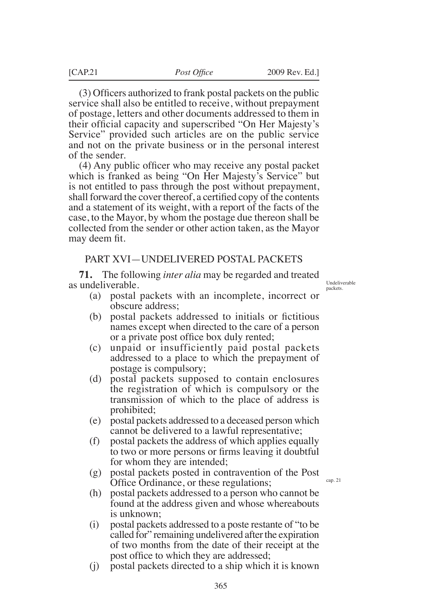| (3) Officers authorized to frank postal packets on the public |
|---------------------------------------------------------------|
| service shall also be entitled to receive, without prepayment |
| of postage, letters and other documents addressed to them in  |
| their official capacity and superscribed "On Her Majesty's    |
| Service" provided such articles are on the public service     |
| and not on the private business or in the personal interest   |
| of the sender.                                                |
|                                                               |

(4) Any public oficer who may receive any postal packet which is franked as being "On Her Majesty's Service" but is not entitled to pass through the post without prepayment, shall forward the cover thereof, a certified copy of the contents and a statement of its weight, with a report of the facts of the case, to the Mayor, by whom the postage due thereon shall be collected from the sender or other action taken, as the Mayor may deem fit.

# PART XVI—UNDELIVERED POSTAL PACKETS

**71.** The following *inter alia* may be regarded and treated as undeliverable.

- (a) postal packets with an incomplete, incorrect or obscure address;
- (b) postal packets addressed to initials or ictitious names except when directed to the care of a person or a private post ofice box duly rented;
- (c) unpaid or insufficiently paid postal packets addressed to a place to which the prepayment of postage is compulsory;
- (d) postal packets supposed to contain enclosures the registration of which is compulsory or the transmission of which to the place of address is prohibited;
- (e) postal packets addressed to a deceased person which cannot be delivered to a lawful representative;
- (f) postal packets the address of which applies equally to two or more persons or irms leaving it doubtful for whom they are intended;
- (g) postal packets posted in contravention of the Post Ofice Ordinance, or these regulations;
- (h) postal packets addressed to a person who cannot be found at the address given and whose whereabouts is unknown;
- (i) postal packets addressed to a poste restante of "to be called for" remaining undelivered after the expiration of two months from the date of their receipt at the post ofice to which they are addressed;
- (j) postal packets directed to a ship which it is known

Undeliverable packets.

cap. 21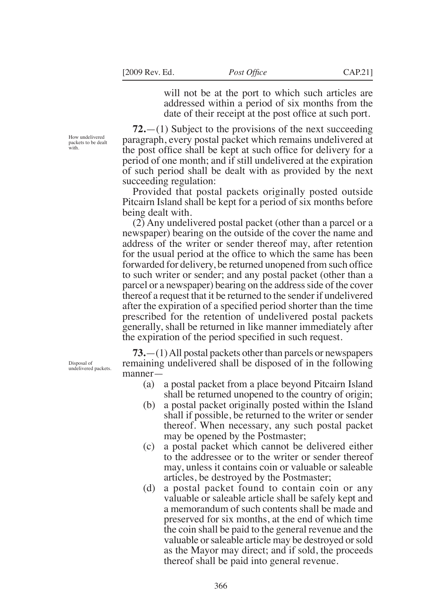will not be at the port to which such articles are addressed within a period of six months from the date of their receipt at the post ofice at such port.

**72.**—(1) Subject to the provisions of the next succeeding paragraph, every postal packet which remains undelivered at the post ofice shall be kept at such ofice for delivery for a period of one month; and if still undelivered at the expiration of such period shall be dealt with as provided by the next succeeding regulation:

Provided that postal packets originally posted outside Pitcairn Island shall be kept for a period of six months before being dealt with.

(2) Any undelivered postal packet (other than a parcel or a newspaper) bearing on the outside of the cover the name and address of the writer or sender thereof may, after retention for the usual period at the ofice to which the same has been forwarded for delivery, be returned unopened from such ofice to such writer or sender; and any postal packet (other than a parcel or a newspaper) bearing on the address side of the cover thereof a request that it be returned to the sender if undelivered after the expiration of a specified period shorter than the time prescribed for the retention of undelivered postal packets generally, shall be returned in like manner immediately after the expiration of the period specified in such request.

**73.**—(1) All postal packets other than parcels or newspapers remaining undelivered shall be disposed of in the following manner—

- (a) a postal packet from a place beyond Pitcairn Island shall be returned unopened to the country of origin;
- (b) a postal packet originally posted within the Island shall if possible, be returned to the writer or sender thereof. When necessary, any such postal packet may be opened by the Postmaster;
- (c) a postal packet which cannot be delivered either to the addressee or to the writer or sender thereof may, unless it contains coin or valuable or saleable articles, be destroyed by the Postmaster;
- (d) a postal packet found to contain coin or any valuable or saleable article shall be safely kept and a memorandum of such contents shall be made and preserved for six months, at the end of which time the coin shall be paid to the general revenue and the valuable or saleable article may be destroyed or sold as the Mayor may direct; and if sold, the proceeds thereof shall be paid into general revenue.

How undelivered packets to be dealt with.

Disposal of undelivered packets.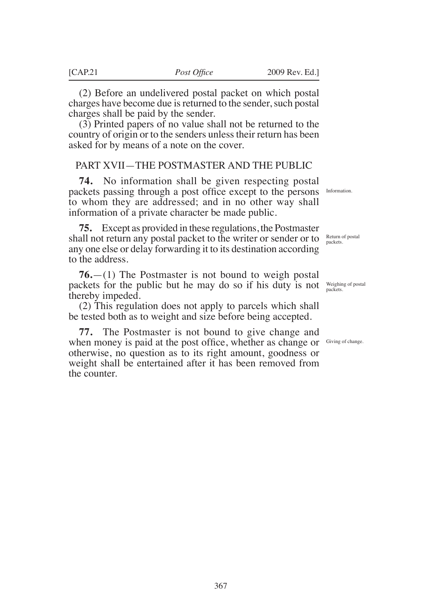(2) Before an undelivered postal packet on which postal charges have become due is returned to the sender, such postal charges shall be paid by the sender.

(3) Printed papers of no value shall not be returned to the country of origin or to the senders unless their return has been asked for by means of a note on the cover.

#### PART XVII—THE POSTMASTER AND THE PUBLIC

**74.** No information shall be given respecting postal packets passing through a post ofice except to the persons to whom they are addressed; and in no other way shall information of a private character be made public.

**75.** Except as provided in these regulations, the Postmaster shall not return any postal packet to the writer or sender or to any one else or delay forwarding it to its destination according to the address.

**76.**—(1) The Postmaster is not bound to weigh postal packets for the public but he may do so if his duty is not thereby impeded.

(2) This regulation does not apply to parcels which shall be tested both as to weight and size before being accepted.

**77.** The Postmaster is not bound to give change and when money is paid at the post ofice, whether as change or otherwise, no question as to its right amount, goodness or weight shall be entertained after it has been removed from the counter.

Information.

Return of postal packets.

Weighing of postal packets.

Giving of change.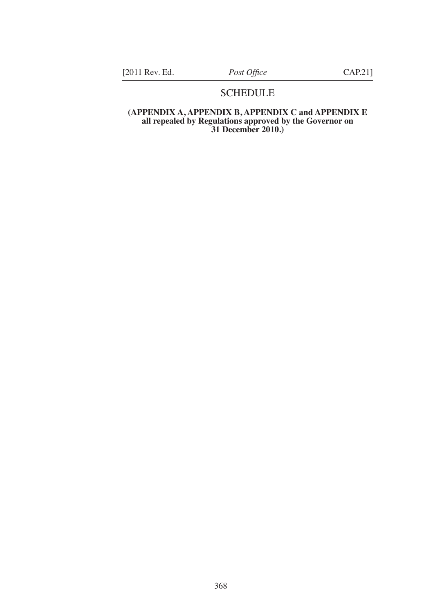[2011 Rev. Ed. *Post Ofice* CAP.21]

# SCHEDULE

**(APPENDIX A, APPENDIX B, APPENDIX C and APPENDIX E all repealed by Regulations approved by the Governor on 31 December 2010.)**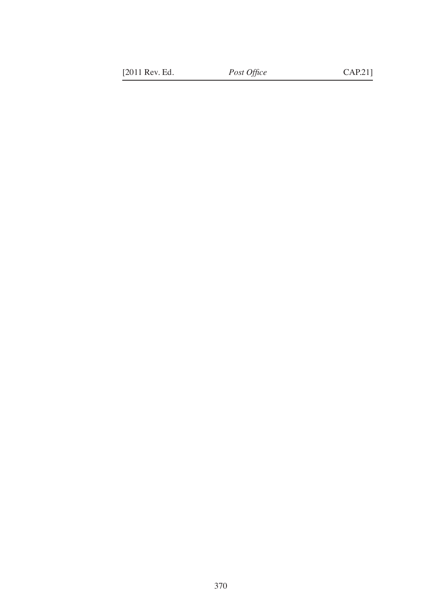[2011 Rev. Ed. *Post Ofice* CAP.21]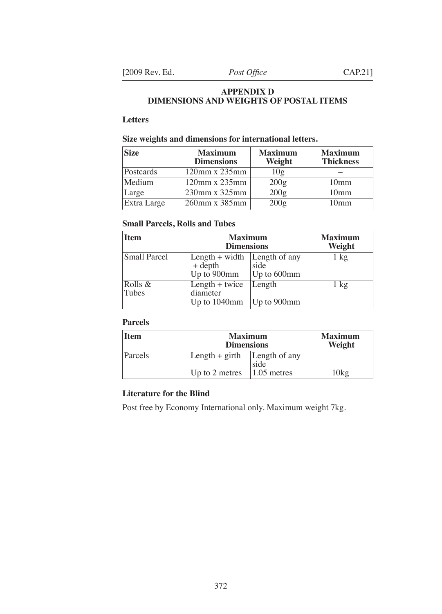#### **APPENDIX D DIMENSIONS AND WEIGHTS OF POSTAL ITEMS**

## **Letters**

# **Size weights and dimensions for international letters.**

| <b>Size</b> | <b>Maximum</b><br><b>Dimensions</b> | <b>Maximum</b><br>Weight | <b>Maximum</b><br><b>Thickness</b> |
|-------------|-------------------------------------|--------------------------|------------------------------------|
| Postcards   | $120$ mm x $235$ mm                 | 10g                      |                                    |
| Medium      | $120$ mm x $235$ mm                 | 200g                     | 10 <sub>mm</sub>                   |
| Large       | $230$ mm x $325$ mm                 | 200g                     | 10 <sub>mm</sub>                   |
| Extra Large | $260$ mm x 385mm                    | 200g                     | 10mm                               |

## **Small Parcels, Rolls and Tubes**

| Item                | <b>Maximum</b><br><b>Dimensions</b>                         | <b>Maximum</b><br>Weight |                |
|---------------------|-------------------------------------------------------------|--------------------------|----------------|
| <b>Small Parcel</b> | Length $+$ width Length of any<br>$+$ depth<br>Up to 900mm  | side<br>Up to 600mm      | $1 \text{ kg}$ |
| Rolls $&$<br>Tubes  | $Length + twice$<br>diameter<br>Up to 1040mm $ Up$ to 900mm | Length                   | $1 \text{ kg}$ |

#### **Parcels**

| Item    | Maximum<br><b>Dimensions</b> | <b>Maximum</b><br>Weight |      |
|---------|------------------------------|--------------------------|------|
| Parcels | Length $+$ girth             | Length of any            |      |
|         |                              | side                     |      |
|         | Up to 2 metres               | $1.05$ metres            | 10kg |

#### **Literature for the Blind**

Post free by Economy International only. Maximum weight 7kg.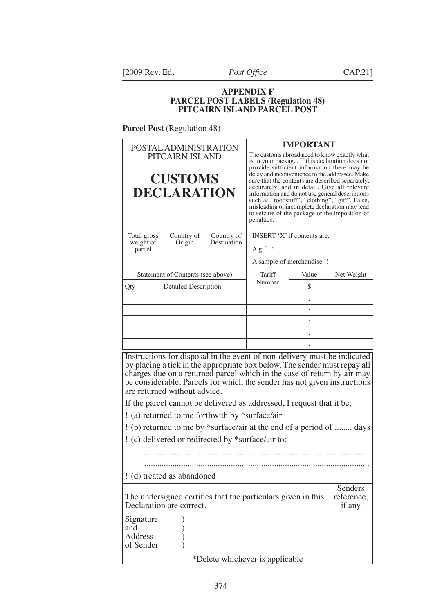## **APPENDIX F PARCEL POST LABELS (Regulation 48) PITCAIRN ISLAND PARCEL POST**

# Parcel Post (Regulation 48)

|                                                                                                                                                                                                                                                                                                                                                                                                                                                                         |                                   | <b>IMPORTANT</b>                                                                                                                                                                                                                                                                                                                                                                                                                                                                                                             |                           |                                                                      |                                 |            |
|-------------------------------------------------------------------------------------------------------------------------------------------------------------------------------------------------------------------------------------------------------------------------------------------------------------------------------------------------------------------------------------------------------------------------------------------------------------------------|-----------------------------------|------------------------------------------------------------------------------------------------------------------------------------------------------------------------------------------------------------------------------------------------------------------------------------------------------------------------------------------------------------------------------------------------------------------------------------------------------------------------------------------------------------------------------|---------------------------|----------------------------------------------------------------------|---------------------------------|------------|
| POSTAL ADMINISTRATION<br>PITCAIRN ISLAND<br><b>CUSTOMS</b><br><b>DECLARATION</b>                                                                                                                                                                                                                                                                                                                                                                                        |                                   | The customs abroad need to know exactly what<br>is in your package. If this declaration does not<br>provide sufficient information there may be<br>delay and inconvenience to the addressee. Make<br>sure that the contents are described separately,<br>accurately, and in detail. Give all relevant<br>information and do not use general descriptions<br>such as "foodstuff", "clothing", "gift". False,<br>misleading or incomplete declaration may lead<br>to seizure of the package or the imposition of<br>penalties. |                           |                                                                      |                                 |            |
| Total gross<br>weight of<br>parcel                                                                                                                                                                                                                                                                                                                                                                                                                                      | Country of<br>Origin              |                                                                                                                                                                                                                                                                                                                                                                                                                                                                                                                              | Country of<br>Destination | INSERT 'X' if contents are:<br>A gift !                              |                                 |            |
|                                                                                                                                                                                                                                                                                                                                                                                                                                                                         |                                   |                                                                                                                                                                                                                                                                                                                                                                                                                                                                                                                              |                           |                                                                      | A sample of merchandise !       |            |
|                                                                                                                                                                                                                                                                                                                                                                                                                                                                         | Statement of Contents (see above) |                                                                                                                                                                                                                                                                                                                                                                                                                                                                                                                              |                           | Tariff<br>Number                                                     | Value                           | Net Weight |
| Qty                                                                                                                                                                                                                                                                                                                                                                                                                                                                     | <b>Detailed Description</b>       |                                                                                                                                                                                                                                                                                                                                                                                                                                                                                                                              |                           |                                                                      | \$                              |            |
|                                                                                                                                                                                                                                                                                                                                                                                                                                                                         |                                   |                                                                                                                                                                                                                                                                                                                                                                                                                                                                                                                              |                           |                                                                      |                                 |            |
|                                                                                                                                                                                                                                                                                                                                                                                                                                                                         |                                   |                                                                                                                                                                                                                                                                                                                                                                                                                                                                                                                              |                           |                                                                      |                                 |            |
|                                                                                                                                                                                                                                                                                                                                                                                                                                                                         |                                   |                                                                                                                                                                                                                                                                                                                                                                                                                                                                                                                              |                           |                                                                      |                                 |            |
|                                                                                                                                                                                                                                                                                                                                                                                                                                                                         |                                   |                                                                                                                                                                                                                                                                                                                                                                                                                                                                                                                              |                           |                                                                      |                                 |            |
|                                                                                                                                                                                                                                                                                                                                                                                                                                                                         |                                   |                                                                                                                                                                                                                                                                                                                                                                                                                                                                                                                              |                           |                                                                      |                                 |            |
| Instructions for disposal in the event of non-delivery must be indicated<br>by placing a tick in the appropriate box below. The sender must repay all<br>charges due on a returned parcel which in the case of return by air may<br>be considerable. Parcels for which the sender has not given instructions<br>are returned without advice.<br>If the parcel cannot be delivered as addressed, I request that it be:<br>! (a) returned to me forthwith by *surface/air |                                   |                                                                                                                                                                                                                                                                                                                                                                                                                                                                                                                              |                           |                                                                      |                                 |            |
|                                                                                                                                                                                                                                                                                                                                                                                                                                                                         |                                   |                                                                                                                                                                                                                                                                                                                                                                                                                                                                                                                              |                           | ! (b) returned to me by *surface/air at the end of a period of  days |                                 |            |
|                                                                                                                                                                                                                                                                                                                                                                                                                                                                         |                                   |                                                                                                                                                                                                                                                                                                                                                                                                                                                                                                                              |                           | ! (c) delivered or redirected by *surface/air to:                    |                                 |            |
|                                                                                                                                                                                                                                                                                                                                                                                                                                                                         |                                   |                                                                                                                                                                                                                                                                                                                                                                                                                                                                                                                              |                           |                                                                      |                                 |            |
|                                                                                                                                                                                                                                                                                                                                                                                                                                                                         |                                   |                                                                                                                                                                                                                                                                                                                                                                                                                                                                                                                              |                           |                                                                      |                                 |            |
|                                                                                                                                                                                                                                                                                                                                                                                                                                                                         |                                   |                                                                                                                                                                                                                                                                                                                                                                                                                                                                                                                              |                           |                                                                      |                                 |            |
| ! (d) treated as abandoned                                                                                                                                                                                                                                                                                                                                                                                                                                              |                                   |                                                                                                                                                                                                                                                                                                                                                                                                                                                                                                                              |                           |                                                                      |                                 |            |
| The undersigned certifies that the particulars given in this<br>Declaration are correct.                                                                                                                                                                                                                                                                                                                                                                                |                                   |                                                                                                                                                                                                                                                                                                                                                                                                                                                                                                                              |                           |                                                                      | Senders<br>reference,<br>if any |            |
| Signature<br>and<br>Address<br>of Sender                                                                                                                                                                                                                                                                                                                                                                                                                                |                                   |                                                                                                                                                                                                                                                                                                                                                                                                                                                                                                                              |                           |                                                                      |                                 |            |
|                                                                                                                                                                                                                                                                                                                                                                                                                                                                         |                                   |                                                                                                                                                                                                                                                                                                                                                                                                                                                                                                                              |                           | *Delete whichever is applicable                                      |                                 |            |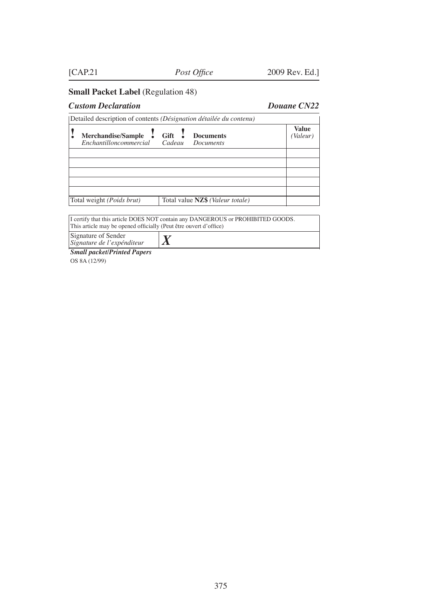# **Small Packet Label (Regulation 48)**

## *Custom Declaration Douane CN22*

| Merchandise/Sample Gift .<br>Enchantilloncommercial Cadeau | <b>Documents</b><br><i>Documents</i> | <b>Value</b><br>(Valeur) |
|------------------------------------------------------------|--------------------------------------|--------------------------|
|                                                            |                                      |                          |
| Total weight ( <i>Poids brut</i> )                         | Total value NZ\$ (Valeur totale)     |                          |

This article may be opened oficially (Peut être ouvert d'ofice)

Signature of Sender *Signature de l'expénditeur X*

*Small packet/Printed Papers*

OS 8A (12/99)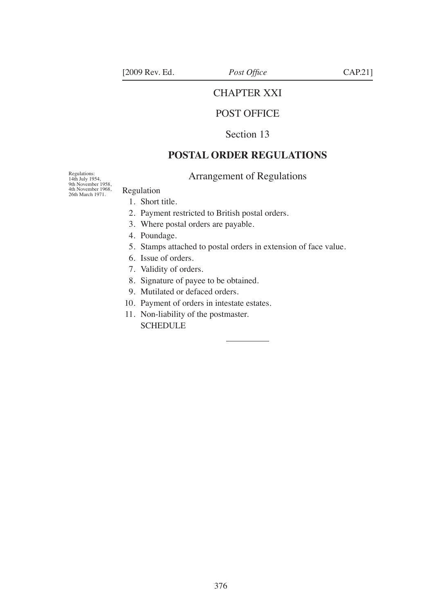# CHAPTER XXI

# POST OFFICE

## Section 13

# **POSTAL ORDER REGULATIONS**

# Arrangement of Regulations

Regulations: 14th July 1954, 9th November 1958, 4th November 1968, 26th March 1971.

- Regulation
	- 1. Short title.
	- 2. Payment restricted to British postal orders.
	- 3. Where postal orders are payable.
	- 4. Poundage.
	- 5. Stamps attached to postal orders in extension of face value.
	- 6. Issue of orders.
	- 7. Validity of orders.
	- 8. Signature of payee to be obtained.
	- 9. Mutilated or defaced orders.
- 10. Payment of orders in intestate estates.
- 11. Non-liability of the postmaster. **SCHEDULE**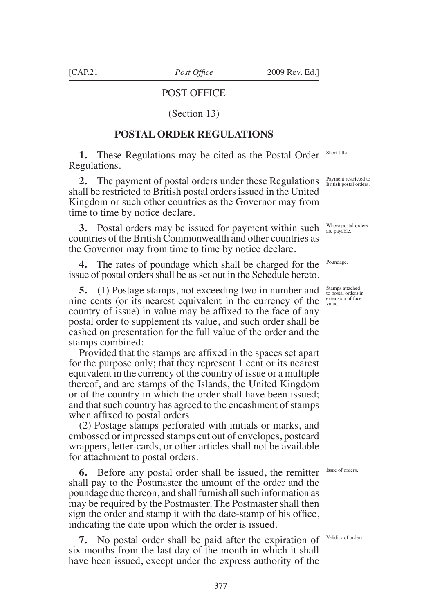## POST OFFICE

## (Section 13)

## **POSTAL ORDER REGULATIONS**

**1.** These Regulations may be cited as the Postal Order Regulations.

**2.** The payment of postal orders under these Regulations shall be restricted to British postal orders issued in the United Kingdom or such other countries as the Governor may from time to time by notice declare.

**3.** Postal orders may be issued for payment within such countries of the British Commonwealth and other countries as the Governor may from time to time by notice declare.

**4.** The rates of poundage which shall be charged for the issue of postal orders shall be as set out in the Schedule hereto.

**5.**—(1) Postage stamps, not exceeding two in number and nine cents (or its nearest equivalent in the currency of the country of issue) in value may be afixed to the face of any postal order to supplement its value, and such order shall be cashed on presentation for the full value of the order and the stamps combined:

Provided that the stamps are afixed in the spaces set apart for the purpose only; that they represent 1 cent or its nearest equivalent in the currency of the country of issue or a multiple thereof, and are stamps of the Islands, the United Kingdom or of the country in which the order shall have been issued; and that such country has agreed to the encashment of stamps when affixed to postal orders.

(2) Postage stamps perforated with initials or marks, and embossed or impressed stamps cut out of envelopes, postcard wrappers, letter-cards, or other articles shall not be available for attachment to postal orders.

**6.** Before any postal order shall be issued, the remitter shall pay to the Postmaster the amount of the order and the poundage due thereon, and shall furnish all such information as may be required by the Postmaster. The Postmaster shall then sign the order and stamp it with the date-stamp of his ofice, indicating the date upon which the order is issued.

**7.** No postal order shall be paid after the expiration of six months from the last day of the month in which it shall have been issued, except under the express authority of the

Short title.

Payment restricted to British postal orders.

Where postal orders are payable.

Poundage.

Stamps attached to postal orders in extension of face value.

Issue of orders.

Validity of orders.